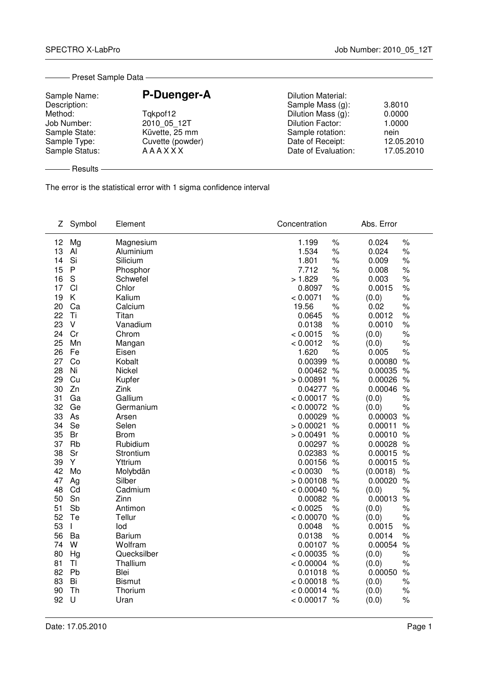| Sample Name:   | P-Duenger-A      | <b>Dilution Material:</b> |            |
|----------------|------------------|---------------------------|------------|
| Description:   |                  | Sample Mass (g):          | 3.8010     |
| Method:        | Tqkpof12         | Dilution Mass (g):        | 0.0000     |
| Job Number:    | 2010 05 12T      | <b>Dilution Factor:</b>   | 1.0000     |
| Sample State:  | Küvette, 25 mm   | Sample rotation:          | nein       |
| Sample Type:   | Cuvette (powder) | Date of Receipt:          | 12.05.2010 |
| Sample Status: | <b>AAAXXX</b>    | Date of Evaluation:       | 17.05.2010 |

The error is the statistical error with 1 sigma confidence interval

| Ζ        | Symbol       | Element                 | Concentration                  |               | Abs. Error       |               |
|----------|--------------|-------------------------|--------------------------------|---------------|------------------|---------------|
| 12       | Mg           | Magnesium               | 1.199                          | $\%$          | 0.024            | $\%$          |
| 13       | AI           | Aluminium               | 1.534                          | $\%$          | 0.024            | $\%$          |
| 14       | Si           | Silicium                | 1.801                          | $\%$          | 0.009            | $\%$          |
| 15       | $\mathsf{P}$ | Phosphor                | 7.712                          | $\%$          | 0.008            | $\%$          |
| 16       | S            | Schwefel                | > 1.829                        | $\%$          | 0.003            | $\%$          |
| 17       | CI           | Chlor                   | 0.8097                         | $\%$          | 0.0015           | $\%$          |
| 19       | K            | Kalium                  | < 0.0071                       | $\%$          | (0.0)            | $\%$          |
| 20       | Ca           | Calcium                 | 19.56                          | $\%$          | 0.02             | $\%$          |
| 22       | Ti           | Titan                   | 0.0645                         | $\%$          | 0.0012           | $\%$          |
| 23       | V            | Vanadium                | 0.0138                         | $\%$          | 0.0010           | $\%$          |
| 24       | Cr           | Chrom                   | < 0.0015                       | $\%$          | (0.0)            | $\%$          |
| 25       | Mn           | Mangan                  | < 0.0012                       | $\%$          | (0.0)            | $\%$          |
| 26       | Fe           | Eisen                   | 1.620                          | $\%$          | 0.005            | $\%$          |
| 27       | Co           | Kobalt                  | 0.00399                        | $\%$          | 0.00080          | $\%$          |
| 28       | Ni           | Nickel                  | 0.00462 %                      |               | 0.00035          | $\frac{1}{6}$ |
| 29       | Cu           | Kupfer                  | > 0.00891                      | $\%$          | 0.00026          | $\%$          |
| 30       | Zn           | Zink                    | 0.04277                        | $\frac{1}{6}$ | 0.00046          | $\frac{1}{6}$ |
| 31       | Ga           | Gallium                 | $< 0.00017$ %                  |               | (0.0)            | $\%$          |
| 32       | Ge           | Germanium               | $< 0.00072$ %                  |               | (0.0)            | $\%$          |
| 33       | As           | Arsen                   | 0.00029                        | $\%$          | 0.00003          | $\%$          |
| 34       | Se           | Selen                   | > 0.00021                      | $\frac{1}{2}$ | 0.00011          | $\frac{1}{6}$ |
| 35       | Br           | <b>Brom</b>             | > 0.00491                      | $\frac{1}{2}$ | 0.00010          | $\%$          |
| 37       | Rb           | Rubidium                | 0.00297 %                      |               | 0.00028          | $\frac{1}{6}$ |
| 38       | Sr           | Strontium               | 0.02383                        | $\%$          | 0.00015          | $\%$          |
| 39       | Y            | Yttrium                 | 0.00156 %                      |               | 0.00015          | $\%$          |
| 42       | Mo           | Molybdän                | < 0.0030                       | $\frac{1}{6}$ | (0.0018)         | $\%$          |
| 47       | Ag           | Silber                  | > 0.00108                      | $\%$          | 0.00020          | $\%$          |
| 48       | Cd           | Cadmium                 | $< 0.00040$ %                  |               | (0.0)            | $\%$          |
| 50       | Sn           | Zinn                    | 0.00082 %                      |               | 0.00013          | $\%$          |
| 51       | Sb           | Antimon                 | < 0.0025                       | $\%$          | (0.0)            | $\%$          |
| 52       | Te           | Tellur                  | < 0.00070                      | $\%$          | (0.0)            | $\%$          |
| 53<br>56 | $\mathbf{I}$ | lod                     | 0.0048                         | $\%$<br>$\%$  | 0.0015           | $\%$<br>$\%$  |
| 74       | Ba<br>W      | <b>Barium</b>           | 0.0138<br>0.00107 %            |               | 0.0014           | $\frac{1}{6}$ |
|          |              | Wolfram                 |                                |               | 0.00054          |               |
| 80<br>81 | Hg<br>TI     | Quecksilber<br>Thallium | $< 0.00035$ %<br>$< 0.00004$ % |               | (0.0)            | $\%$<br>$\%$  |
| 82       | Pb           | <b>Blei</b>             | 0.01018 %                      |               | (0.0)<br>0.00050 | $\%$          |
| 83       | Bi           | <b>Bismut</b>           | $< 0.00018$ %                  |               | (0.0)            | $\%$          |
| 90       | Th           | Thorium                 | < 0.00014                      | %             |                  |               |
| 92       | U            | Uran                    | $< 0.00017$ %                  |               | (0.0)<br>(0.0)   | $\%$<br>$\%$  |
|          |              |                         |                                |               |                  |               |